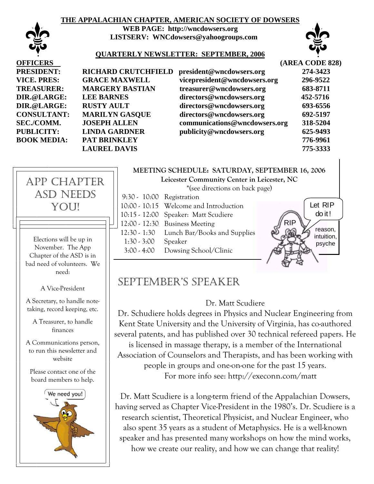### **THE APPALACHIAN CHAPTER, AMERICAN SOCIETY OF DOWSERS**



**WEB PAGE: http://wncdowsers.org LISTSERV: WNCdowsers@yahoogroups.com** 



#### **QUARTERLY NEWSLETTER: SEPTEMBER, 2006**

| <b>HARD CRUTCHFIELD</b> | pre |
|-------------------------|-----|
| <b>ACE MAXWELL</b>      | vic |
| <b>RGERY BASTIAN</b>    | tre |
| <b>EBARNES</b>          | dir |
| <b>STY AULT</b>         | dir |
| <b>RILYN GASQUE</b>     | dir |
| <b>EPH ALLEN</b>        | cor |
| <b>DA GARDNER</b>       | pu  |
| <b>FBRINKLEY</b>        |     |
| <b>JREL DAVIS</b>       |     |
|                         |     |

| <b>OFFICERS</b>    |                            |                               | (AREA CODE 828) |
|--------------------|----------------------------|-------------------------------|-----------------|
| <b>PRESIDENT:</b>  | <b>RICHARD CRUTCHFIELD</b> | president@wncdowsers.org      | 274-3423        |
| <b>VICE. PRES:</b> | <b>GRACE MAXWELL</b>       | vicepresident@wncdowsers.org  | 296-9522        |
| <b>TREASURER:</b>  | <b>MARGERY BASTIAN</b>     | treasurer@wncdowsers.org      | 683-8711        |
| DIR.@LARGE:        | <b>LEE BARNES</b>          | directors@wncdowsers.org      | 452-5716        |
| DIR.@LARGE:        | <b>RUSTY AULT</b>          | directors@wncdowsers.org      | 693-6556        |
| <b>CONSULTANT:</b> | <b>MARILYN GASQUE</b>      | directors@wncdowsers.org      | 692-5197        |
| <b>SEC./COMM.</b>  | <b>JOSEPH ALLEN</b>        | communications@wncdowsers.org | 318-5204        |
| <b>PUBLICITY:</b>  | <b>LINDA GARDNER</b>       | publicity@wncdowsers.org      | 625-9493        |
| <b>BOOK MEDIA:</b> | PAT BRINKLEY               |                               | 776-9961        |
|                    | <b>LAUREL DAVIS</b>        |                               | 775-3333        |



Elections will be up in November. The App Chapter of the ASD is in bad need of volunteers. We need:

A Vice-President

A Secretary, to handle notetaking, record keeping, etc.

A Treasurer, to handle finances

A Communications person, to run this newsletter and website

Please contact one of the board members to help.



## **MEETING SCHEDULE: SATURDAY, SEPTEMBER 16, 2006**

**Leicester Community Center in Leicester, NC** 

\*(see directions on back page)

| $9:30 - 10:00$ Registration |                                        |  |
|-----------------------------|----------------------------------------|--|
|                             | 10:00 - 10:15 Welcome and Introduction |  |
|                             | 10:15 - 12:00 Speaker: Matt Scudiere   |  |
|                             | 12:00 - 12:30 Business Meeting         |  |
| $12:30 - 1:30$              | Lunch Bar/Books and Supplies           |  |
| $1:30 - 3:00$               | Speaker                                |  |
| $3:00 - 4:00$               | Dowsing School/Clinic                  |  |
|                             |                                        |  |



## SEPTEMBER'S SPEAKER

### Dr. Matt Scudiere

Dr. Schudiere holds degrees in Physics and Nuclear Engineering from Kent State University and the University of Virginia, has co-authored several patents, and has published over 30 technical refereed papers. He is licensed in massage therapy, is a member of the International Association of Counselors and Therapists, and has been working with people in groups and one-on-one for the past 15 years. For more info see: http://execonn.com/matt

Dr. Matt Scudiere is a long-term friend of the Appalachian Dowsers, having served as Chapter Vice-President in the 1980's. Dr. Scudiere is a research scientist, Theoretical Physicist, and Nuclear Engineer, who also spent 35 years as a student of Metaphysics. He is a well-known speaker and has presented many workshops on how the mind works, how we create our reality, and how we can change that reality!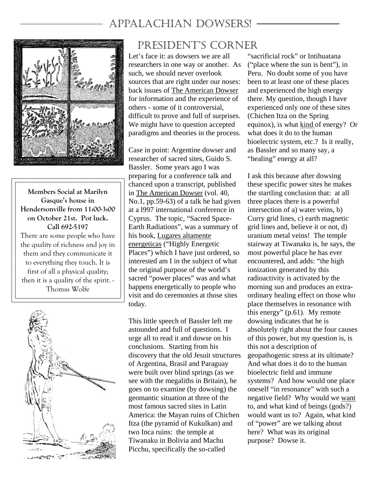# APPALACHIAN DOWSERS!



**Members Social at Marilyn Gasque's house in Hendersonville from 11:00-3:00 on October 21st. Pot luck. Call 692-5197**  There are some people who have the quality of richness and joy in them and they communicate it to everything they touch. It is first of all a physical quality; then it is a quality of the spirit. - Thomas Wolfe



## PRESIDENT'S CORNER

Let's face it: as dowsers we are all researchers in one way or another. As such, we should never overlook sources that are right under our noses: back issues of The American Dowser for information and the experience of others - some of it controversial, difficult to prove and full of surprises. We might have to question accepted paradigms and theories in the process.

Case in point: Argentine dowser and researcher of sacred sites, Guido S. Bassler. Some years ago I was preparing for a conference talk and chanced upon a transcript, published in The American Dowser (vol. 40, No.1, pp.59-63) of a talk he had given at a l997 international conference in Cyprus. The topic, "Sacred Space-Earth Radiations", was a summary of his book, Lugares altamente energeticas ("Highly Energetic Places") which I have just ordered, so interested am I in the subject of what the original purpose of the world's sacred "power places" was and what happens energetically to people who visit and do ceremonies at those sites today.

This little speech of Bassler left me astounded and full of questions. I urge all to read it and dowse on his conclusions. Starting from his discovery that the old Jesuit structures of Argentina, Brasil and Paraguay were built over blind springs (as we see with the megaliths in Britain), he goes on to examine (by dowsing) the geomantic situation at three of the most famous sacred sites in Latin America: the Mayan ruins of Chichen Itza (the pyramid of Kukulkan) and two Inca ruins: the temple at Tiwanaku in Bolivia and Machu Picchu, specifically the so-called

"sacrificial rock" or Intihuatana ("place where the sun is bent"), in Peru. No doubt some of you have been to at least one of these places and experienced the high energy there. My question, though I have experienced only one of these sites (Chichen Itza on the Spring equinox), is what kind of energy? Or what does it do to the human bioelectric system, etc.? Is it really, as Bassler and so many say, a "healing" energy at all?

I ask this because after dowsing these specific power sites he makes the startling conclusion that: at all three places there is a powerful intersection of a) water veins, b) Curry grid lines, c) earth magnetic grid lines and, believe it or not, d) uranium metal veins! The temple stairway at Tiwanaku is, he says, the most powerful place he has ever encountered, and adds: "the high ionization generated by this radioactivity is activated by the morning sun and produces an extraordinary healing effect on those who place themselves in resonance with this energy" (p.61). My remote dowsing indicates that he is absolutely right about the four causes of this power, but my question is, is this not a description of geopathogenic stress at its ultimate? And what does it do to the human bioelectric field and immune systems? And how would one place oneself "in resonance" with such a negative field? Why would we want to, and what kind of beings (gods?) would want us to? Again, what kind of "power" are we talking about here? What was its original purpose? Dowse it.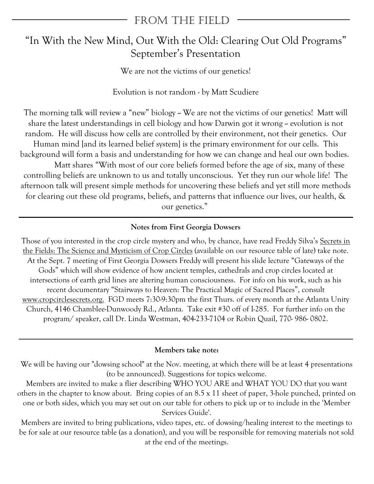## FROM THE FIELD

## "In With the New Mind, Out With the Old: Clearing Out Old Programs" September's Presentation

We are not the victims of our genetics!

Evolution is not random - by Matt Scudiere

The morning talk will review a "new" biology -- We are not the victims of our genetics! Matt will share the latest understandings in cell biology and how Darwin got it wrong  $\sim$  evolution is not random. He will discuss how cells are controlled by their environment, not their genetics. Our Human mind [and its learned belief system] is the primary environment for our cells. This background will form a basis and understanding for how we can change and heal our own bodies. Matt shares "With most of our core beliefs formed before the age of six, many of these controlling beliefs are unknown to us and totally unconscious. Yet they run our whole life! The afternoon talk will present simple methods for uncovering these beliefs and yet still more methods for clearing out these old programs, beliefs, and patterns that influence our lives, our health, & our genetics."

## **Notes from First Georgia Dowsers**

Those of you interested in the crop circle mystery and who, by chance, have read Freddy Silva's Secrets in the Fields: The Science and Mysticism of Crop Circles (available on our resource table of late) take note. At the Sept. 7 meeting of First Georgia Dowsers Freddy will present his slide lecture "Gateways of the Gods" which will show evidence of how ancient temples, cathedrals and crop circles located at intersections of earth grid lines are altering human consciousness. For info on his work, such as his recent documentary "Stairways to Heaven: The Practical Magic of Sacred Places", consult www.cropcirclesecrets.org. FGD meets 7:30-9:30pm the first Thurs. of every month at the Atlanta Unity Church, 4146 Chamblee-Dunwoody Rd., Atlanta. Take exit #30 off of I-285. For further info on the program/ speaker, call Dr. Linda Westman, 404-233-7104 or Robin Quail, 770- 986- 0802.

### **Members take note:**

We will be having our "dowsing school" at the Nov. meeting, at which there will be at least 4 presentations (to be announced). Suggestions for topics welcome.

Members are invited to make a flier describing WHO YOU ARE and WHAT YOU DO that you want others in the chapter to know about. Bring copies of an 8.5 x 11 sheet of paper, 3-hole punched, printed on one or both sides, which you may set out on our table for others to pick up or to include in the 'Member Services Guide'.

Members are invited to bring publications, video tapes, etc. of dowsing/healing interest to the meetings to be for sale at our resource table (as a donation), and you will be responsible for removing materials not sold at the end of the meetings.